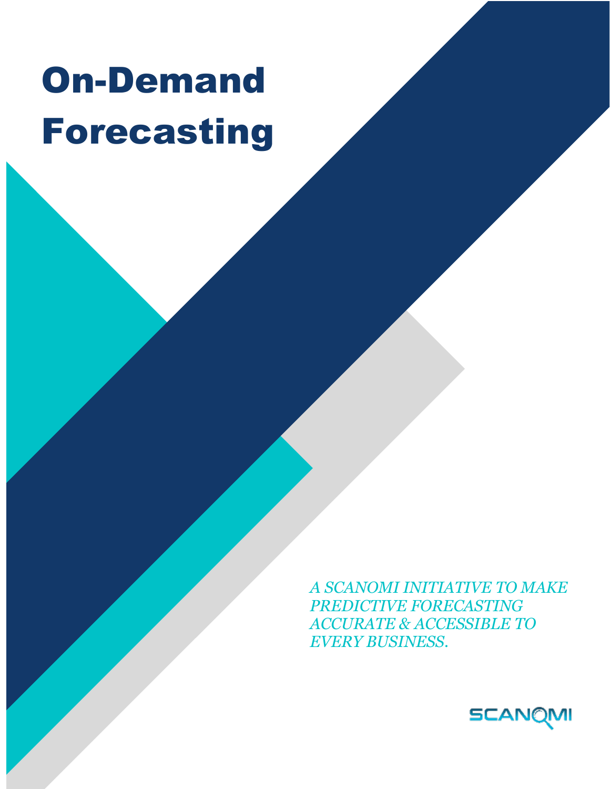## On-Demand Forecasting

*A SCANOMI INITIATIVE TO MAKE PREDICTIVE FORECASTING ACCURATE & ACCESSIBLE TO EVERY BUSINESS.*

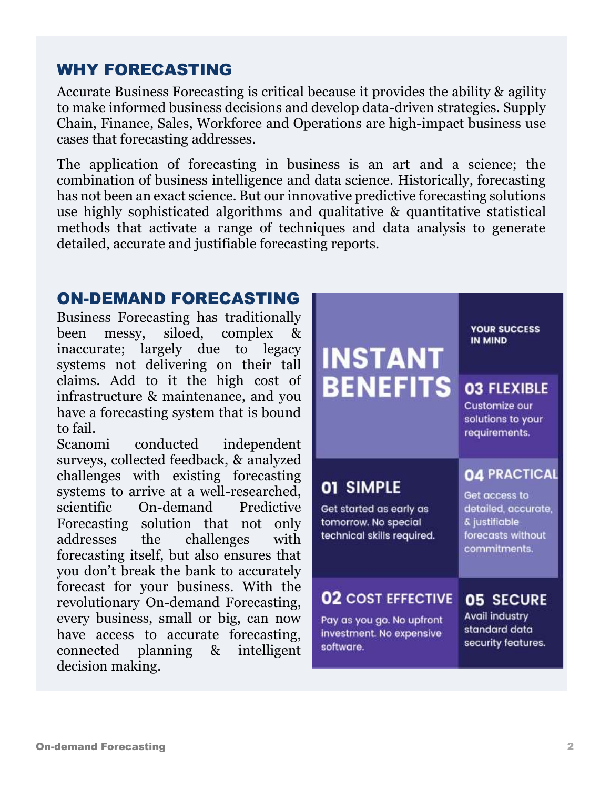## WHY FORECASTING

Accurate Business Forecasting is critical because it provides the ability & agility to make informed business decisions and develop data-driven strategies. Supply Chain, Finance, Sales, Workforce and Operations are high-impact business use cases that forecasting addresses.

The application of forecasting in business is an art and a science; the combination of business intelligence and data science. Historically, forecasting has not been an exact science. But our innovative predictive forecasting solutions use highly sophisticated algorithms and qualitative & quantitative statistical methods that activate a range of techniques and data analysis to generate detailed, accurate and justifiable forecasting reports.

## ON-DEMAND FORECASTING

Business Forecasting has traditionally been messy, siloed, complex & inaccurate; largely due to legacy systems not delivering on their tall claims. Add to it the high cost of infrastructure & maintenance, and you have a forecasting system that is bound to fail.

Scanomi conducted independent surveys, collected feedback, & analyzed challenges with existing forecasting systems to arrive at a well-researched, scientific On-demand Predictive Forecasting solution that not only addresses the challenges with forecasting itself, but also ensures that you don't break the bank to accurately forecast for your business. With the revolutionary On-demand Forecasting, every business, small or big, can now have access to accurate forecasting, connected planning & intelligent decision making.

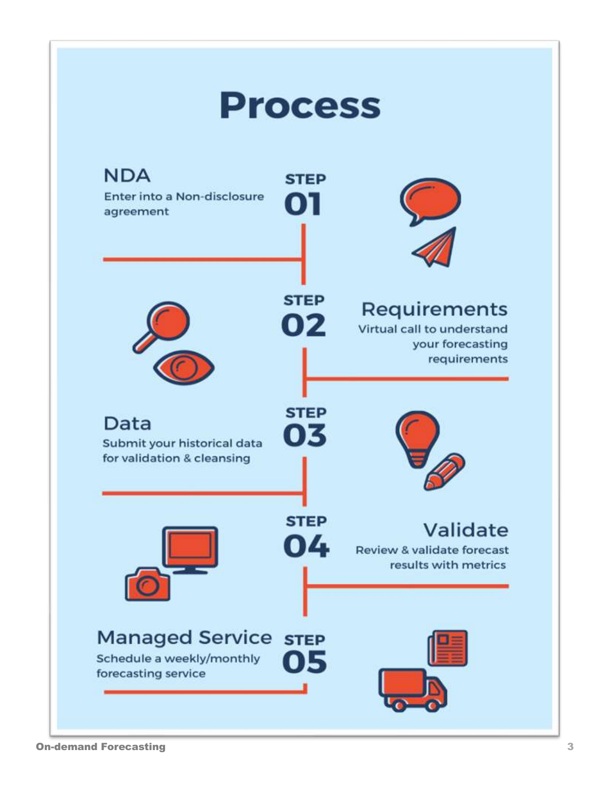